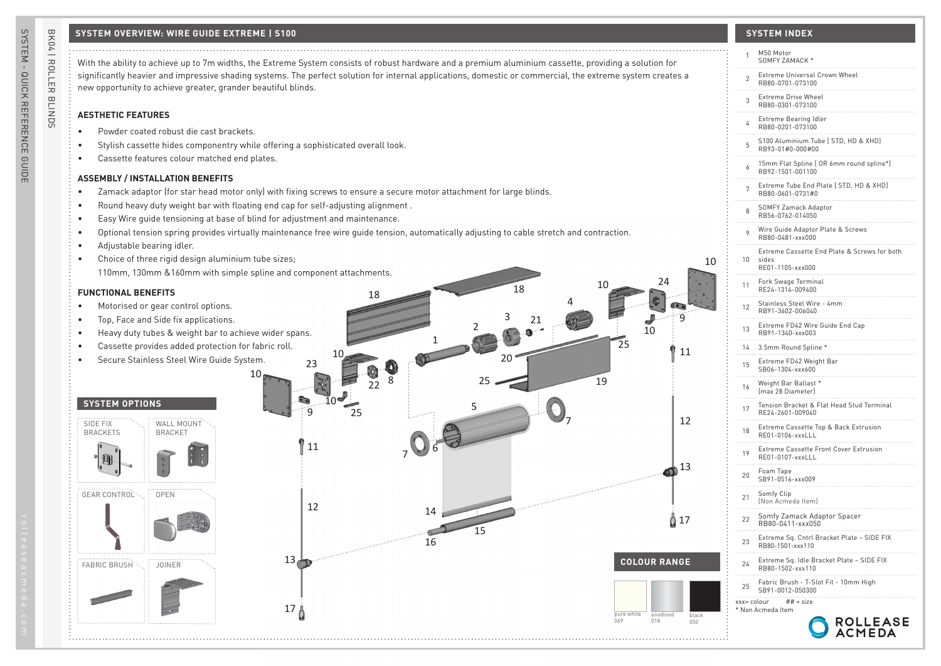# **SYSTEM OVERVIEW: WIRE GUIDE EXTREME | S100 SYSTEM INDEX**

# **AESTHETIC FEATURES**

- Powder coated robust die cast brackets.
- Stylish cassette hides componentry while offering a sophisticated overall look.
- Cassette features colour matched end plates.

# **ASSEMBLY / INSTALLATION BENEFITS**

- Zamack adaptor (for star head motor only) with fixing screws to ensure a secure motor attachment for large blinds.
- Round heavy duty weight bar with floating end cap for self-adjusting alignment .
- Easy Wire guide tensioning at base of blind for adjustment and maintenance.
- Optional tension spring provides virtually maintenance free wire guide tension, automatically adjusting to cable stretch and contraction.
- Adjustable bearing idler.
- Choice of three rigid design aluminium tube sizes; 110mm, 130mm &160mm with simple spline and component attachments.

## **FUNCTIONAL BENEFITS**

- Motorised or gear control options.
- Top, Face and Side fix applications.
- Heavy duty tubes & weight bar to achieve wider spans.
- Cassette provides added protection for fabric roll.
- Secure Stainless Steel Wire Guide System.

## **SYSTEM OPTIONS**





| With the ability to achieve up to 7m widths, the Extreme System consists of robust hardware and a premium aluminium cassette, providing a solution for                                                                                                                                                    | M50 Motor<br>SOMFY ZAMACK *                                                     |
|-----------------------------------------------------------------------------------------------------------------------------------------------------------------------------------------------------------------------------------------------------------------------------------------------------------|---------------------------------------------------------------------------------|
| significantly heavier and impressive shading systems. The perfect solution for internal applications, domestic or commercial, the extreme system creates a<br>new opportunity to achieve greater, grander beautiful blinds.                                                                               | Extreme Universal Crown Wheel<br>RB80-0701-073100                               |
|                                                                                                                                                                                                                                                                                                           | Extreme Drive Wheel<br>RB80-0301-073100                                         |
| <b>AESTHETIC FEATURES</b>                                                                                                                                                                                                                                                                                 | Extreme Bearing Idler<br>RB80-0201-073100                                       |
| Powder coated robust die cast brackets.<br>Stylish cassette hides componentry while offering a sophisticated overall look.                                                                                                                                                                                | S100 Aluminium Tube [ STD, HD & XHD]<br>RB93-01#0-000#00                        |
| Cassette features colour matched end plates.                                                                                                                                                                                                                                                              | 15mm Flat Spline [ OR 6mm round spline*]<br>RB92-1501-001100                    |
| <b>ASSEMBLY / INSTALLATION BENEFITS</b><br>Zamack adaptor (for star head motor only) with fixing screws to ensure a secure motor attachment for large blinds.                                                                                                                                             | Extreme Tube End Plate [ STD, HD & XHD]<br>RB80-0601-0731#0                     |
| Round heavy duty weight bar with floating end cap for self-adjusting alignment.                                                                                                                                                                                                                           | SOMFY Zamack Adaptor<br>RB56-0762-014050                                        |
| Easy Wire guide tensioning at base of blind for adjustment and maintenance.<br>Optional tension spring provides virtually maintenance free wire guide tension, automatically adjusting to cable stretch and contraction.                                                                                  | Wire Guide Adaptor Plate & Screws<br>RB80-0481-xxx000                           |
| Adjustable bearing idler.<br>Choice of three rigid design aluminium tube sizes;<br>10                                                                                                                                                                                                                     | Extreme Cassette End Plate & Screws for both<br>10<br>sides<br>RE01-1105-xxx000 |
| 110mm, 130mm & 160mm with simple spline and component attachments.<br>24<br>18<br><b>FUNCTIONAL BENEFITS</b>                                                                                                                                                                                              | Fork Swage Terminal<br>RE24-1314-009400                                         |
| Motorised or gear control options.                                                                                                                                                                                                                                                                        | Stainless Steel Wire - 4mm<br>12<br>RB91-3602-006040                            |
| q<br>Top, Face and Side fix applications.<br>21<br>10<br>Heavy duty tubes & weight bar to achieve wider spans.                                                                                                                                                                                            | Extreme FD42 Wire Guide End Cap<br>RB91-1340-xxx003<br>13                       |
| 25<br>Cassette provides added protection for fabric roll.<br>11                                                                                                                                                                                                                                           | 14 3.5mm Round Spline *                                                         |
| Secure Stainless Steel Wire Guide System.<br>23<br>10 <sub>1</sub>                                                                                                                                                                                                                                        | Extreme FD42 Weight Bar<br>SB06-1304-xxx600<br>15                               |
| 19<br>22                                                                                                                                                                                                                                                                                                  | Weight Bar Ballast *<br>16<br>[max 28 Diameter]                                 |
| <b>SYSTEM OPTIONS</b><br>25                                                                                                                                                                                                                                                                               | Tension Bracket & Flat Head Stud Terminal<br>17<br>RE24-2601-009040             |
| 12<br>SIDE FIX<br>WALL MOUNT<br><b>BRACKETS</b><br><b>BRACKET</b>                                                                                                                                                                                                                                         | Extreme Cassette Top & Back Extrusion<br>18<br>RE01-0106-xxxLLL                 |
| 11                                                                                                                                                                                                                                                                                                        | Extreme Cassette Front Cover Extrusion<br>19<br>RE01-0107-xxxLLL                |
| $\bigoplus$ 13                                                                                                                                                                                                                                                                                            | Foam Tape<br>20<br>SB91-0516-xxx009                                             |
| <b>GEAR CONTROL</b><br><b>OPEN</b><br>12                                                                                                                                                                                                                                                                  | Somfy Clip<br>21<br>[Non Acmeda Item]                                           |
| 14<br>₫ 17                                                                                                                                                                                                                                                                                                | Somfy Zamack Adaptor Spacer<br>RB80-0411-xxx050<br>22                           |
| 15<br>16                                                                                                                                                                                                                                                                                                  | Extreme Sq. Cntrl Bracket Plate - SIDE FIX<br>23<br>RB80-1501-xxx110            |
| was a complete the complete of the complete of the complete of the complete of the complete of the complete of the complete of the complete of the complete of the complete of the complete of the complete of the complete of<br>$13 - p$<br><b>COLOUR RANGE</b><br><b>FABRIC BRUSH</b><br><b>JOINER</b> | Extreme Sq. Idle Bracket Plate - SIDE FIX<br>24<br>RB80-1502-xxx110             |
|                                                                                                                                                                                                                                                                                                           | Fabric Brush - T-Slot Fit - 10mm High<br>SB91-0012-050300                       |
| 17 <sub>0</sub>                                                                                                                                                                                                                                                                                           | $xxx = colour$ ## = size<br>* Non Acmeda Item                                   |
| pure white<br>anodised<br>black<br>069<br>018<br>050                                                                                                                                                                                                                                                      | ROLLEASE                                                                        |

BK04 | ROLLER BLINDS

BK04 | ROLLER BLINDS